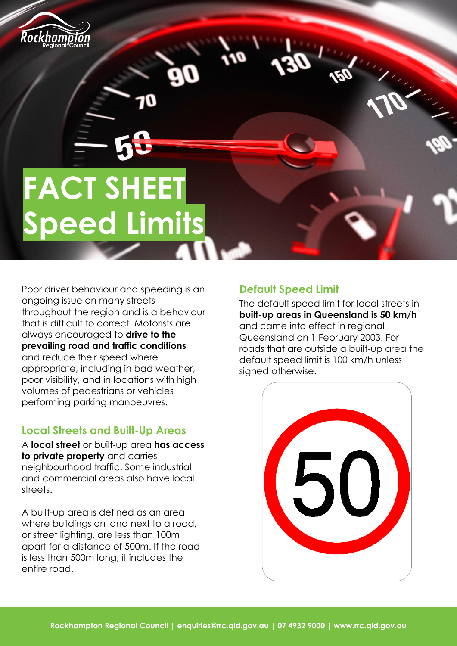

# **FACT SHEET Speed Limits**

Poor driver behaviour and speeding is an ongoing issue on many streets throughout the region and is a behaviour that is difficult to correct. Motorists are always encouraged to **drive to the prevailing road and traffic conditions** and reduce their speed where appropriate, including in bad weather, poor visibility, and in locations with high volumes of pedestrians or vehicles performing parking manoeuvres.

#### **Local Streets and Built-Up Areas**

A **local street** or built-up area **has access to private property** and carries neighbourhood traffic. Some industrial and commercial areas also have local streets.

A built-up area is defined as an area where buildings on land next to a road, or street lighting, are less than 100m apart for a distance of 500m. If the road is less than 500m long, it includes the entire road.

## **Default Speed Limit**

The default speed limit for local streets in **built-up areas in Queensland is 50 km/h** and came into effect in regional Queensland on 1 February 2003. For roads that are outside a built-up area the default speed limit is 100 km/h unless signed otherwise.

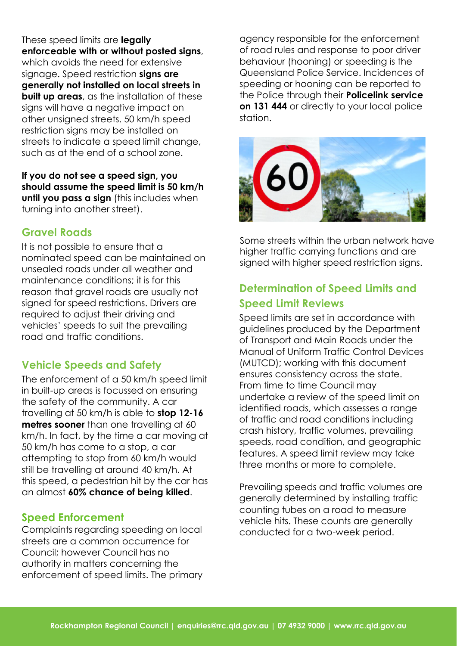These speed limits are **legally enforceable with or without posted signs**, which avoids the need for extensive signage. Speed restriction **signs are generally not installed on local streets in built up areas**, as the installation of these signs will have a negative impact on other unsigned streets. 50 km/h speed restriction signs may be installed on streets to indicate a speed limit change, such as at the end of a school zone.

**If you do not see a speed sign, you should assume the speed limit is 50 km/h until you pass a sign** (this includes when turning into another street).

#### **Gravel Roads**

It is not possible to ensure that a nominated speed can be maintained on unsealed roads under all weather and maintenance conditions; it is for this reason that gravel roads are usually not signed for speed restrictions. Drivers are required to adjust their driving and vehicles' speeds to suit the prevailing road and traffic conditions.

#### **Vehicle Speeds and Safety**

The enforcement of a 50 km/h speed limit in built-up areas is focussed on ensuring the safety of the community. A car travelling at 50 km/h is able to **stop 12-16 metres sooner** than one travelling at 60 km/h. In fact, by the time a car moving at 50 km/h has come to a stop, a car attempting to stop from 60 km/h would still be travelling at around 40 km/h. At this speed, a pedestrian hit by the car has an almost **60% chance of being killed**.

#### **Speed Enforcement**

Complaints regarding speeding on local streets are a common occurrence for Council; however Council has no authority in matters concerning the enforcement of speed limits. The primary agency responsible for the enforcement of road rules and response to poor driver behaviour (hooning) or speeding is the Queensland Police Service. Incidences of speeding or hooning can be reported to the Police through their **Policelink service on 131 444** or directly to your local police station.



Some streets within the urban network have higher traffic carrying functions and are signed with higher speed restriction signs.

# **Determination of Speed Limits and Speed Limit Reviews**

Speed limits are set in accordance with guidelines produced by the Department of Transport and Main Roads under the Manual of Uniform Traffic Control Devices (MUTCD); working with this document ensures consistency across the state. From time to time Council may undertake a review of the speed limit on identified roads, which assesses a range of traffic and road conditions including crash history, traffic volumes, prevailing speeds, road condition, and geographic features. A speed limit review may take three months or more to complete.

Prevailing speeds and traffic volumes are generally determined by installing traffic counting tubes on a road to measure vehicle hits. These counts are generally conducted for a two-week period.